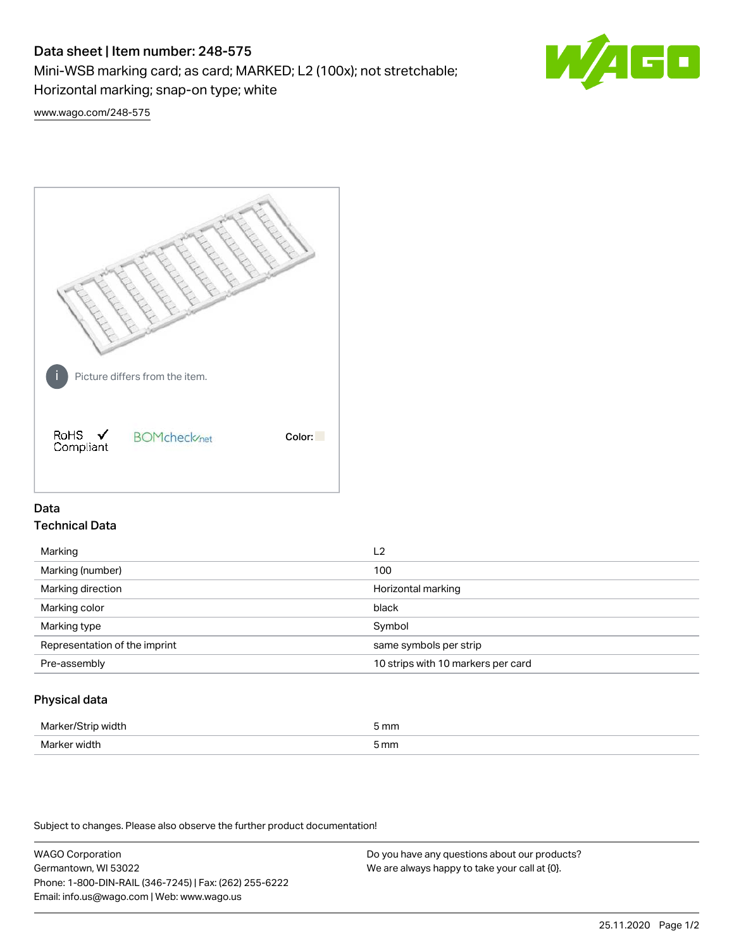# Data sheet | Item number: 248-575

Mini-WSB marking card; as card; MARKED; L2 (100x); not stretchable;

Horizontal marking; snap-on type; white



[www.wago.com/248-575](http://www.wago.com/248-575)



## Data Technical Data

| Marking                       | L <sub>2</sub>                     |
|-------------------------------|------------------------------------|
| Marking (number)              | 100                                |
| Marking direction             | Horizontal marking                 |
| Marking color                 | black                              |
| Marking type                  | Symbol                             |
| Representation of the imprint | same symbols per strip             |
| Pre-assembly                  | 10 strips with 10 markers per card |
|                               |                                    |

## Physical data

| Marker<br>WILL.<br>י | 5 mm |
|----------------------|------|
| Marker w<br>width    | 5 mm |

Subject to changes. Please also observe the further product documentation!

WAGO Corporation Germantown, WI 53022 Phone: 1-800-DIN-RAIL (346-7245) | Fax: (262) 255-6222 Email: info.us@wago.com | Web: www.wago.us Do you have any questions about our products? We are always happy to take your call at {0}.